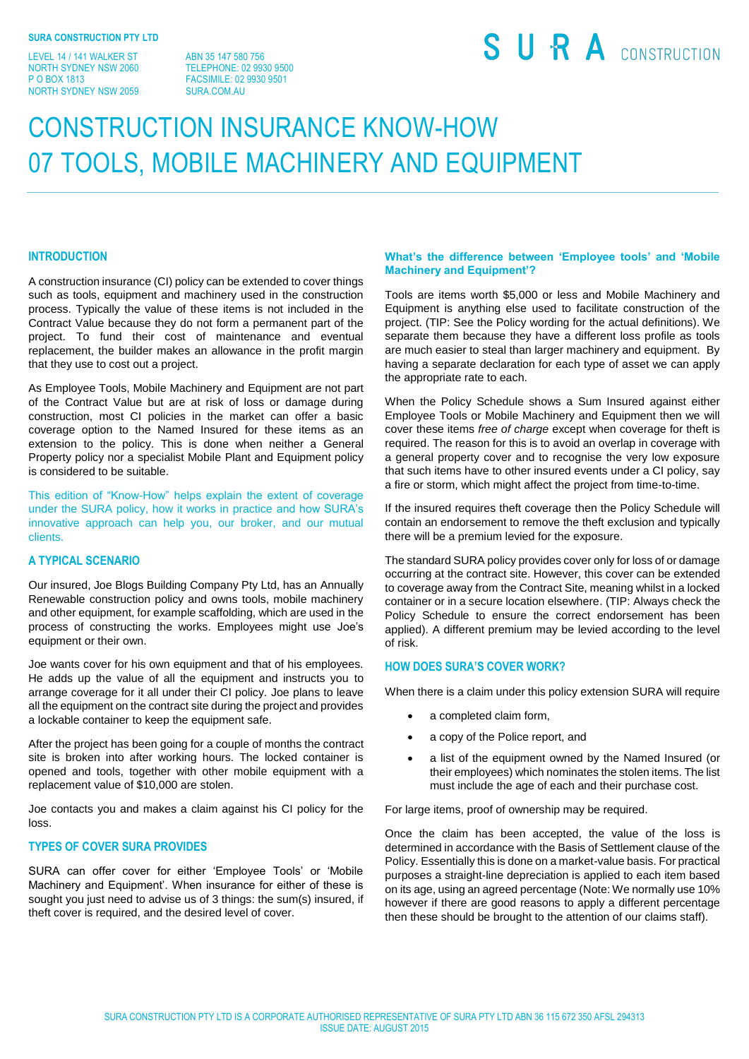LEVEL 14 / 141 WALKER ST NORTH SYDNEY NSW 2060 P O BOX 1813 NORTH SYDNEY NSW 2059

ABN 35 147 580 756 TELEPHONE: 02 9930 9500 FACSIMILE: 02 9930 9501 SURA COM AU

# SURA CONSTRUCTION

## CONSTRUCTION INSURANCE KNOW-HOW 07 TOOLS, MOBILE MACHINERY AND EQUIPMENT

#### **INTRODUCTION**

A construction insurance (CI) policy can be extended to cover things such as tools, equipment and machinery used in the construction process. Typically the value of these items is not included in the Contract Value because they do not form a permanent part of the project. To fund their cost of maintenance and eventual replacement, the builder makes an allowance in the profit margin that they use to cost out a project.

As Employee Tools, Mobile Machinery and Equipment are not part of the Contract Value but are at risk of loss or damage during construction, most CI policies in the market can offer a basic coverage option to the Named Insured for these items as an extension to the policy. This is done when neither a General Property policy nor a specialist Mobile Plant and Equipment policy is considered to be suitable.

This edition of "Know-How" helps explain the extent of coverage under the SURA policy, how it works in practice and how SURA's innovative approach can help you, our broker, and our mutual clients.

#### **A TYPICAL SCENARIO**

Our insured, Joe Blogs Building Company Pty Ltd, has an Annually Renewable construction policy and owns tools, mobile machinery and other equipment, for example scaffolding, which are used in the process of constructing the works. Employees might use Joe's equipment or their own.

Joe wants cover for his own equipment and that of his employees. He adds up the value of all the equipment and instructs you to arrange coverage for it all under their CI policy. Joe plans to leave all the equipment on the contract site during the project and provides a lockable container to keep the equipment safe.

After the project has been going for a couple of months the contract site is broken into after working hours. The locked container is opened and tools, together with other mobile equipment with a replacement value of \$10,000 are stolen.

Joe contacts you and makes a claim against his CI policy for the loss.

#### **TYPES OF COVER SURA PROVIDES**

SURA can offer cover for either 'Employee Tools' or 'Mobile Machinery and Equipment'. When insurance for either of these is sought you just need to advise us of 3 things: the sum(s) insured, if theft cover is required, and the desired level of cover.

#### **What's the difference between 'Employee tools' and 'Mobile Machinery and Equipment'?**

Tools are items worth \$5,000 or less and Mobile Machinery and Equipment is anything else used to facilitate construction of the project. (TIP: See the Policy wording for the actual definitions). We separate them because they have a different loss profile as tools are much easier to steal than larger machinery and equipment. By having a separate declaration for each type of asset we can apply the appropriate rate to each.

When the Policy Schedule shows a Sum Insured against either Employee Tools or Mobile Machinery and Equipment then we will cover these items *free of charge* except when coverage for theft is required. The reason for this is to avoid an overlap in coverage with a general property cover and to recognise the very low exposure that such items have to other insured events under a CI policy, say a fire or storm, which might affect the project from time-to-time.

If the insured requires theft coverage then the Policy Schedule will contain an endorsement to remove the theft exclusion and typically there will be a premium levied for the exposure.

The standard SURA policy provides cover only for loss of or damage occurring at the contract site. However, this cover can be extended to coverage away from the Contract Site, meaning whilst in a locked container or in a secure location elsewhere. (TIP: Always check the Policy Schedule to ensure the correct endorsement has been applied). A different premium may be levied according to the level of risk.

#### **HOW DOES SURA'S COVER WORK?**

When there is a claim under this policy extension SURA will require

- a completed claim form,
- a copy of the Police report, and
- a list of the equipment owned by the Named Insured (or their employees) which nominates the stolen items. The list must include the age of each and their purchase cost.

For large items, proof of ownership may be required.

Once the claim has been accepted, the value of the loss is determined in accordance with the Basis of Settlement clause of the Policy. Essentially this is done on a market-value basis. For practical purposes a straight-line depreciation is applied to each item based on its age, using an agreed percentage (Note: We normally use 10% however if there are good reasons to apply a different percentage then these should be brought to the attention of our claims staff).